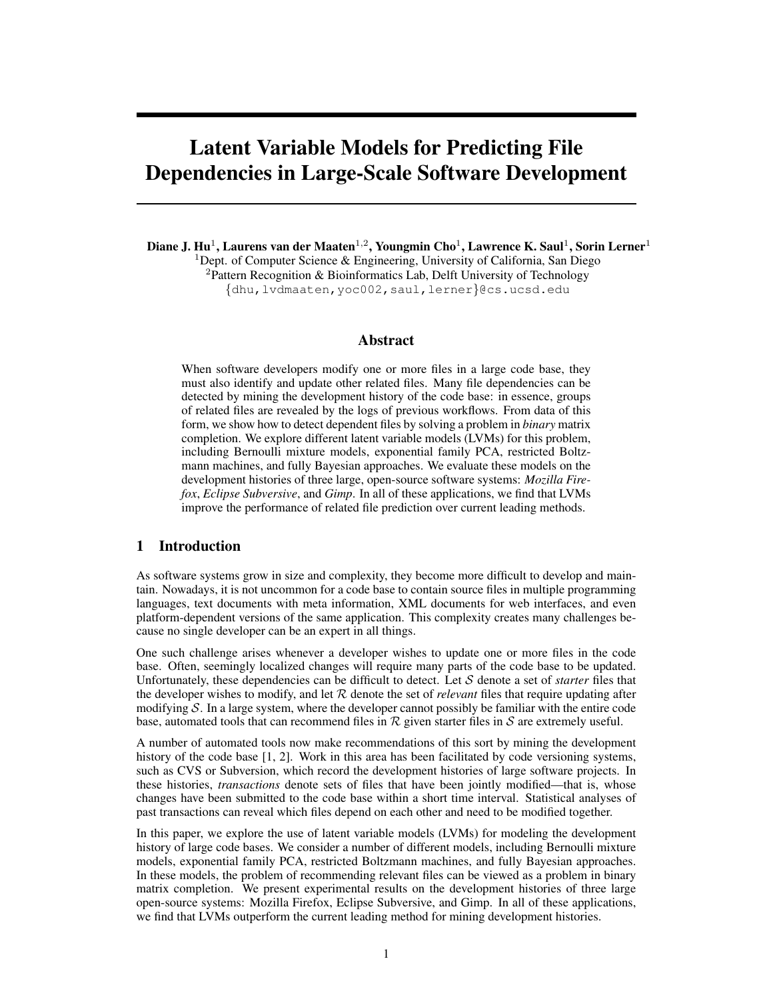# Latent Variable Models for Predicting File Dependencies in Large-Scale Software Development

Diane J. Hu $^1$ , Laurens van der Maaten $^{1,2}$ , Youngmin Cho $^1$ , Lawrence K. Saul $^1$ , Sorin Lerner $^1$ <sup>1</sup>Dept. of Computer Science & Engineering, University of California, San Diego <sup>2</sup>Pattern Recognition & Bioinformatics Lab, Delft University of Technology {dhu,lvdmaaten,yoc002,saul,lerner}@cs.ucsd.edu

### Abstract

When software developers modify one or more files in a large code base, they must also identify and update other related files. Many file dependencies can be detected by mining the development history of the code base: in essence, groups of related files are revealed by the logs of previous workflows. From data of this form, we show how to detect dependent files by solving a problem in *binary* matrix completion. We explore different latent variable models (LVMs) for this problem, including Bernoulli mixture models, exponential family PCA, restricted Boltzmann machines, and fully Bayesian approaches. We evaluate these models on the development histories of three large, open-source software systems: *Mozilla Firefox*, *Eclipse Subversive*, and *Gimp*. In all of these applications, we find that LVMs improve the performance of related file prediction over current leading methods.

# 1 Introduction

As software systems grow in size and complexity, they become more difficult to develop and maintain. Nowadays, it is not uncommon for a code base to contain source files in multiple programming languages, text documents with meta information, XML documents for web interfaces, and even platform-dependent versions of the same application. This complexity creates many challenges because no single developer can be an expert in all things.

One such challenge arises whenever a developer wishes to update one or more files in the code base. Often, seemingly localized changes will require many parts of the code base to be updated. Unfortunately, these dependencies can be difficult to detect. Let S denote a set of *starter* files that the developer wishes to modify, and let  $R$  denote the set of *relevant* files that require updating after modifying  $S$ . In a large system, where the developer cannot possibly be familiar with the entire code base, automated tools that can recommend files in  $R$  given starter files in S are extremely useful.

A number of automated tools now make recommendations of this sort by mining the development history of the code base [1, 2]. Work in this area has been facilitated by code versioning systems, such as CVS or Subversion, which record the development histories of large software projects. In these histories, *transactions* denote sets of files that have been jointly modified—that is, whose changes have been submitted to the code base within a short time interval. Statistical analyses of past transactions can reveal which files depend on each other and need to be modified together.

In this paper, we explore the use of latent variable models (LVMs) for modeling the development history of large code bases. We consider a number of different models, including Bernoulli mixture models, exponential family PCA, restricted Boltzmann machines, and fully Bayesian approaches. In these models, the problem of recommending relevant files can be viewed as a problem in binary matrix completion. We present experimental results on the development histories of three large open-source systems: Mozilla Firefox, Eclipse Subversive, and Gimp. In all of these applications, we find that LVMs outperform the current leading method for mining development histories.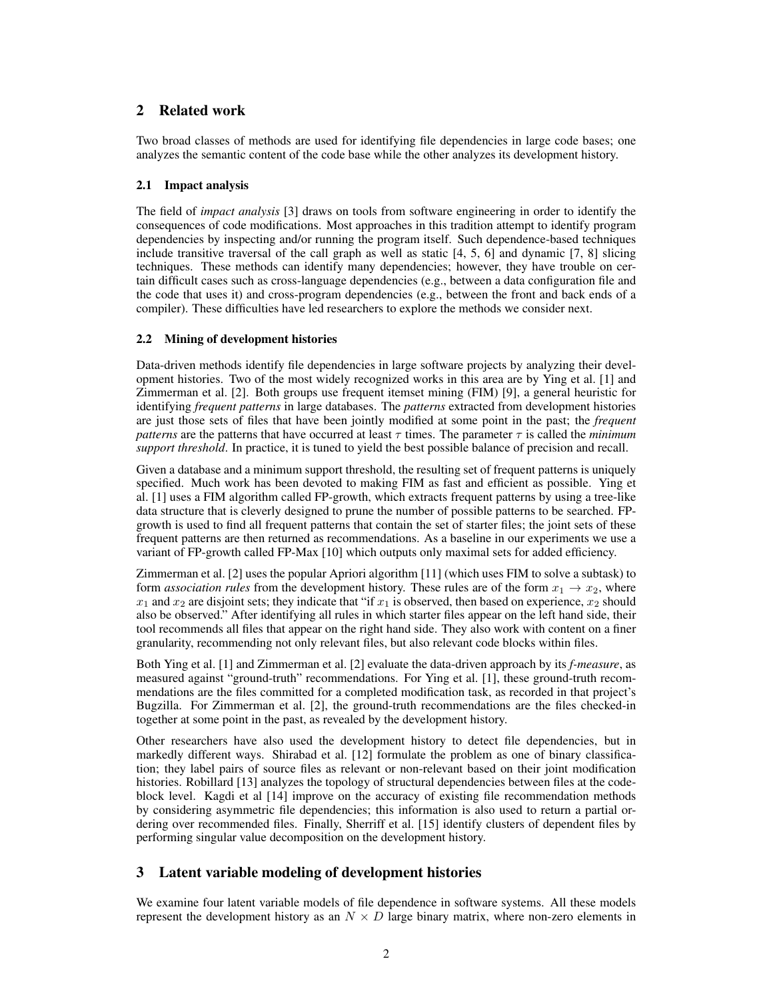# 2 Related work

Two broad classes of methods are used for identifying file dependencies in large code bases; one analyzes the semantic content of the code base while the other analyzes its development history.

# 2.1 Impact analysis

The field of *impact analysis* [3] draws on tools from software engineering in order to identify the consequences of code modifications. Most approaches in this tradition attempt to identify program dependencies by inspecting and/or running the program itself. Such dependence-based techniques include transitive traversal of the call graph as well as static [4, 5, 6] and dynamic [7, 8] slicing techniques. These methods can identify many dependencies; however, they have trouble on certain difficult cases such as cross-language dependencies (e.g., between a data configuration file and the code that uses it) and cross-program dependencies (e.g., between the front and back ends of a compiler). These difficulties have led researchers to explore the methods we consider next.

# 2.2 Mining of development histories

Data-driven methods identify file dependencies in large software projects by analyzing their development histories. Two of the most widely recognized works in this area are by Ying et al. [1] and Zimmerman et al. [2]. Both groups use frequent itemset mining (FIM) [9], a general heuristic for identifying *frequent patterns* in large databases. The *patterns* extracted from development histories are just those sets of files that have been jointly modified at some point in the past; the *frequent patterns* are the patterns that have occurred at least  $\tau$  times. The parameter  $\tau$  is called the *minimum support threshold*. In practice, it is tuned to yield the best possible balance of precision and recall.

Given a database and a minimum support threshold, the resulting set of frequent patterns is uniquely specified. Much work has been devoted to making FIM as fast and efficient as possible. Ying et al. [1] uses a FIM algorithm called FP-growth, which extracts frequent patterns by using a tree-like data structure that is cleverly designed to prune the number of possible patterns to be searched. FPgrowth is used to find all frequent patterns that contain the set of starter files; the joint sets of these frequent patterns are then returned as recommendations. As a baseline in our experiments we use a variant of FP-growth called FP-Max [10] which outputs only maximal sets for added efficiency.

Zimmerman et al. [2] uses the popular Apriori algorithm [11] (which uses FIM to solve a subtask) to form *association rules* from the development history. These rules are of the form  $x_1 \rightarrow x_2$ , where  $x_1$  and  $x_2$  are disjoint sets; they indicate that "if  $x_1$  is observed, then based on experience,  $x_2$  should also be observed." After identifying all rules in which starter files appear on the left hand side, their tool recommends all files that appear on the right hand side. They also work with content on a finer granularity, recommending not only relevant files, but also relevant code blocks within files.

Both Ying et al. [1] and Zimmerman et al. [2] evaluate the data-driven approach by its *f-measure*, as measured against "ground-truth" recommendations. For Ying et al. [1], these ground-truth recommendations are the files committed for a completed modification task, as recorded in that project's Bugzilla. For Zimmerman et al. [2], the ground-truth recommendations are the files checked-in together at some point in the past, as revealed by the development history.

Other researchers have also used the development history to detect file dependencies, but in markedly different ways. Shirabad et al. [12] formulate the problem as one of binary classification; they label pairs of source files as relevant or non-relevant based on their joint modification histories. Robillard [13] analyzes the topology of structural dependencies between files at the codeblock level. Kagdi et al [14] improve on the accuracy of existing file recommendation methods by considering asymmetric file dependencies; this information is also used to return a partial ordering over recommended files. Finally, Sherriff et al. [15] identify clusters of dependent files by performing singular value decomposition on the development history.

# 3 Latent variable modeling of development histories

We examine four latent variable models of file dependence in software systems. All these models represent the development history as an  $N \times D$  large binary matrix, where non-zero elements in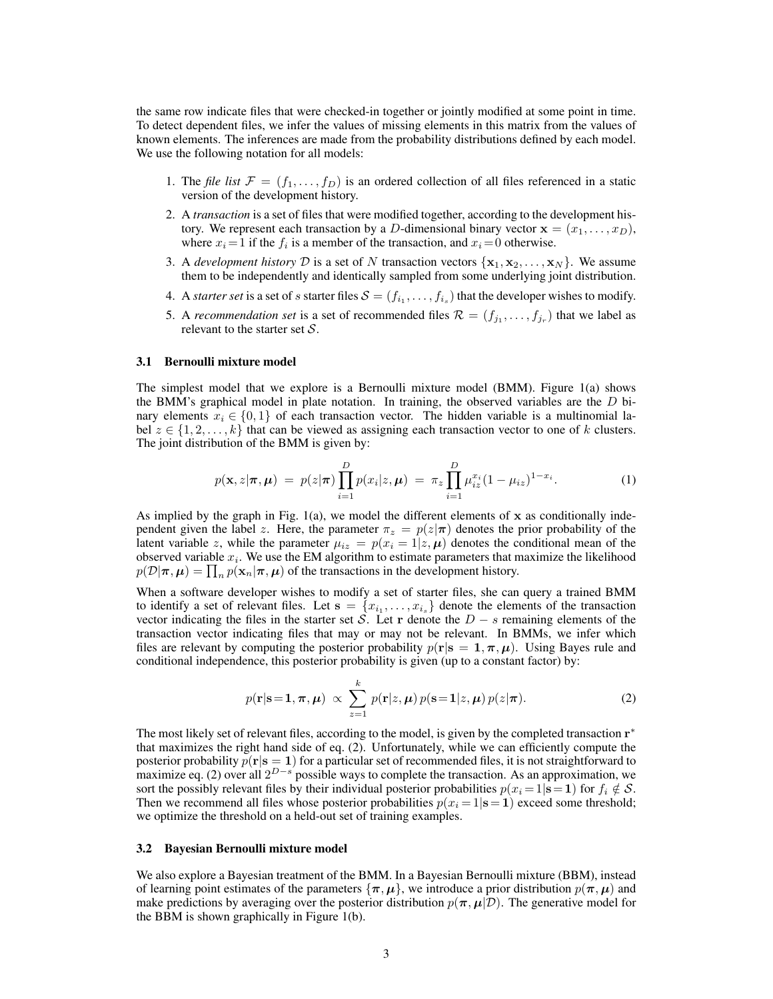the same row indicate files that were checked-in together or jointly modified at some point in time. To detect dependent files, we infer the values of missing elements in this matrix from the values of known elements. The inferences are made from the probability distributions defined by each model. We use the following notation for all models:

- 1. The *file list*  $\mathcal{F} = (f_1, \ldots, f_D)$  is an ordered collection of all files referenced in a static version of the development history.
- 2. A *transaction* is a set of files that were modified together, according to the development history. We represent each transaction by a D-dimensional binary vector  $\mathbf{x} = (x_1, \dots, x_D)$ , where  $x_i = 1$  if the  $f_i$  is a member of the transaction, and  $x_i = 0$  otherwise.
- 3. A *development history* D is a set of N transaction vectors  $\{x_1, x_2, \ldots, x_N\}$ . We assume them to be independently and identically sampled from some underlying joint distribution.
- 4. A *starter set* is a set of s starter files  $S = (f_{i_1}, \ldots, f_{i_s})$  that the developer wishes to modify.
- 5. A *recommendation set* is a set of recommended files  $\mathcal{R} = (f_{j_1}, \ldots, f_{j_r})$  that we label as relevant to the starter set  $S$ .

#### 3.1 Bernoulli mixture model

The simplest model that we explore is a Bernoulli mixture model (BMM). Figure 1(a) shows the BMM's graphical model in plate notation. In training, the observed variables are the  $D$  binary elements  $x_i \in \{0,1\}$  of each transaction vector. The hidden variable is a multinomial label  $z \in \{1, 2, \ldots, k\}$  that can be viewed as assigning each transaction vector to one of k clusters. The joint distribution of the BMM is given by:

$$
p(\mathbf{x}, z | \boldsymbol{\pi}, \boldsymbol{\mu}) = p(z | \boldsymbol{\pi}) \prod_{i=1}^{D} p(x_i | z, \boldsymbol{\mu}) = \pi_z \prod_{i=1}^{D} \mu_{iz}^{x_i} (1 - \mu_{iz})^{1 - x_i}.
$$
 (1)

As implied by the graph in Fig.  $1(a)$ , we model the different elements of x as conditionally independent given the label z. Here, the parameter  $\pi_z = p(z|\pi)$  denotes the prior probability of the latent variable z, while the parameter  $\mu_{iz} = p(x_i = 1 | z, \mu)$  denotes the conditional mean of the observed variable  $x_i$ . We use the EM algorithm to estimate parameters that maximize the likelihood  $p(\mathcal{D}|\boldsymbol{\pi}, \boldsymbol{\mu}) = \prod_n p(\mathbf{x}_n | \boldsymbol{\pi}, \boldsymbol{\mu})$  of the transactions in the development history.

When a software developer wishes to modify a set of starter files, she can query a trained BMM to identify a set of relevant files. Let  $s = \{x_{i_1}, \ldots, x_{i_s}\}\$  denote the elements of the transaction vector indicating the files in the starter set S. Let r denote the  $D - s$  remaining elements of the transaction vector indicating files that may or may not be relevant. In BMMs, we infer which files are relevant by computing the posterior probability  $p(\mathbf{r}|\mathbf{s} = 1, \pi, \mu)$ . Using Bayes rule and conditional independence, this posterior probability is given (up to a constant factor) by:

$$
p(\mathbf{r}|\mathbf{s}=\mathbf{1}, \boldsymbol{\pi}, \boldsymbol{\mu}) \propto \sum_{z=1}^{k} p(\mathbf{r}|z, \boldsymbol{\mu}) p(\mathbf{s}=\mathbf{1}|z, \boldsymbol{\mu}) p(z|\boldsymbol{\pi}). \tag{2}
$$

The most likely set of relevant files, according to the model, is given by the completed transaction  $r^*$ that maximizes the right hand side of eq. (2). Unfortunately, while we can efficiently compute the posterior probability  $p(\mathbf{r}|\mathbf{s} = 1)$  for a particular set of recommended files, it is not straightforward to maximize eq. (2) over all  $2^{D-s}$  possible ways to complete the transaction. As an approximation, we sort the possibly relevant files by their individual posterior probabilities  $p(x_i = 1|\mathbf{s} = 1)$  for  $f_i \notin \mathcal{S}$ . Then we recommend all files whose posterior probabilities  $p(x_i = 1 | s = 1)$  exceed some threshold; we optimize the threshold on a held-out set of training examples.

# 3.2 Bayesian Bernoulli mixture model

We also explore a Bayesian treatment of the BMM. In a Bayesian Bernoulli mixture (BBM), instead of learning point estimates of the parameters  $\{\pi, \mu\}$ , we introduce a prior distribution  $p(\pi, \mu)$  and make predictions by averaging over the posterior distribution  $p(\pi, \mu | \mathcal{D})$ . The generative model for the BBM is shown graphically in Figure 1(b).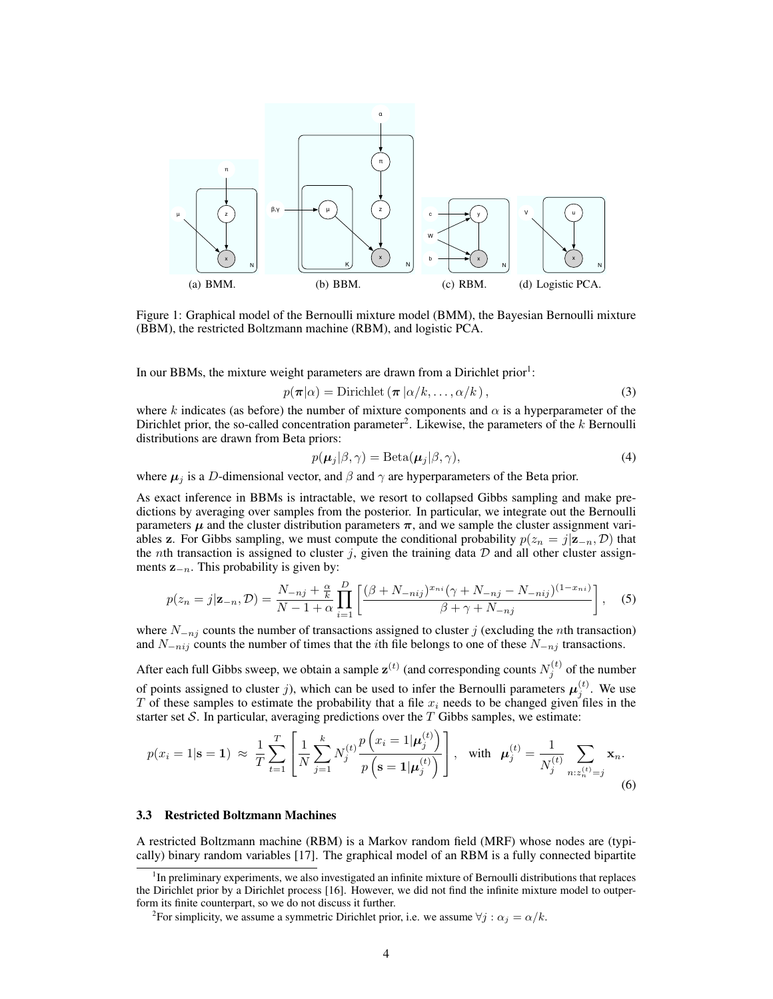

Figure 1: Graphical model of the Bernoulli mixture model (BMM), the Bayesian Bernoulli mixture (BBM), the restricted Boltzmann machine (RBM), and logistic PCA.

In our BBMs, the mixture weight parameters are drawn from a Dirichlet prior<sup>1</sup>:

$$
p(\boldsymbol{\pi}|\alpha) = \text{Dirichlet}\left(\boldsymbol{\pi}\left|\alpha/k,\ldots,\alpha/k\right.\right),\tag{3}
$$

where k indicates (as before) the number of mixture components and  $\alpha$  is a hyperparameter of the Dirichlet prior, the so-called concentration parameter<sup>2</sup>. Likewise, the parameters of the  $k$  Bernoulli distributions are drawn from Beta priors:

$$
p(\boldsymbol{\mu}_j|\beta,\gamma) = \text{Beta}(\boldsymbol{\mu}_j|\beta,\gamma),\tag{4}
$$

where  $\mu_j$  is a D-dimensional vector, and  $\beta$  and  $\gamma$  are hyperparameters of the Beta prior.

As exact inference in BBMs is intractable, we resort to collapsed Gibbs sampling and make predictions by averaging over samples from the posterior. In particular, we integrate out the Bernoulli parameters  $\mu$  and the cluster distribution parameters  $\pi$ , and we sample the cluster assignment variables z. For Gibbs sampling, we must compute the conditional probability  $p(z_n = j | \mathbf{z}_{-n}, \mathcal{D})$  that the *n*th transaction is assigned to cluster j, given the training data  $D$  and all other cluster assignments  $z_{-n}$ . This probability is given by:

$$
p(z_n = j | \mathbf{z}_{-n}, \mathcal{D}) = \frac{N_{-nj} + \frac{\alpha}{k}}{N - 1 + \alpha} \prod_{i=1}^{D} \left[ \frac{(\beta + N_{-nij})^{x_{ni}} (\gamma + N_{-nj} - N_{-nij})^{(1 - x_{ni})}}{\beta + \gamma + N_{-nj}} \right], \quad (5)
$$

where  $N_{-n_j}$  counts the number of transactions assigned to cluster j (excluding the *n*th transaction) and  $N_{-nij}$  counts the number of times that the *i*th file belongs to one of these  $N_{-nji}$  transactions.

After each full Gibbs sweep, we obtain a sample  $\mathbf{z}^{(t)}$  (and corresponding counts  $N_j^{(t)}$  of the number of points assigned to cluster j), which can be used to infer the Bernoulli parameters  $\mu_j^{(t)}$ . We use T of these samples to estimate the probability that a file  $x_i$  needs to be changed given files in the starter set  $S$ . In particular, averaging predictions over the  $T$  Gibbs samples, we estimate:

$$
p(x_i = 1 | \mathbf{s} = 1) \approx \frac{1}{T} \sum_{t=1}^T \left[ \frac{1}{N} \sum_{j=1}^k N_j^{(t)} \frac{p\left(x_i = 1 | \boldsymbol{\mu}_j^{(t)}\right)}{p\left(\mathbf{s} = 1 | \boldsymbol{\mu}_j^{(t)}\right)} \right], \text{ with } \boldsymbol{\mu}_j^{(t)} = \frac{1}{N_j^{(t)}} \sum_{n: z_n^{(t)} = j} \mathbf{x}_n. \tag{6}
$$

#### 3.3 Restricted Boltzmann Machines

A restricted Boltzmann machine (RBM) is a Markov random field (MRF) whose nodes are (typically) binary random variables [17]. The graphical model of an RBM is a fully connected bipartite

<sup>&</sup>lt;sup>1</sup>In preliminary experiments, we also investigated an infinite mixture of Bernoulli distributions that replaces the Dirichlet prior by a Dirichlet process [16]. However, we did not find the infinite mixture model to outperform its finite counterpart, so we do not discuss it further.

<sup>&</sup>lt;sup>2</sup> For simplicity, we assume a symmetric Dirichlet prior, i.e. we assume  $\forall j : \alpha_j = \alpha/k$ .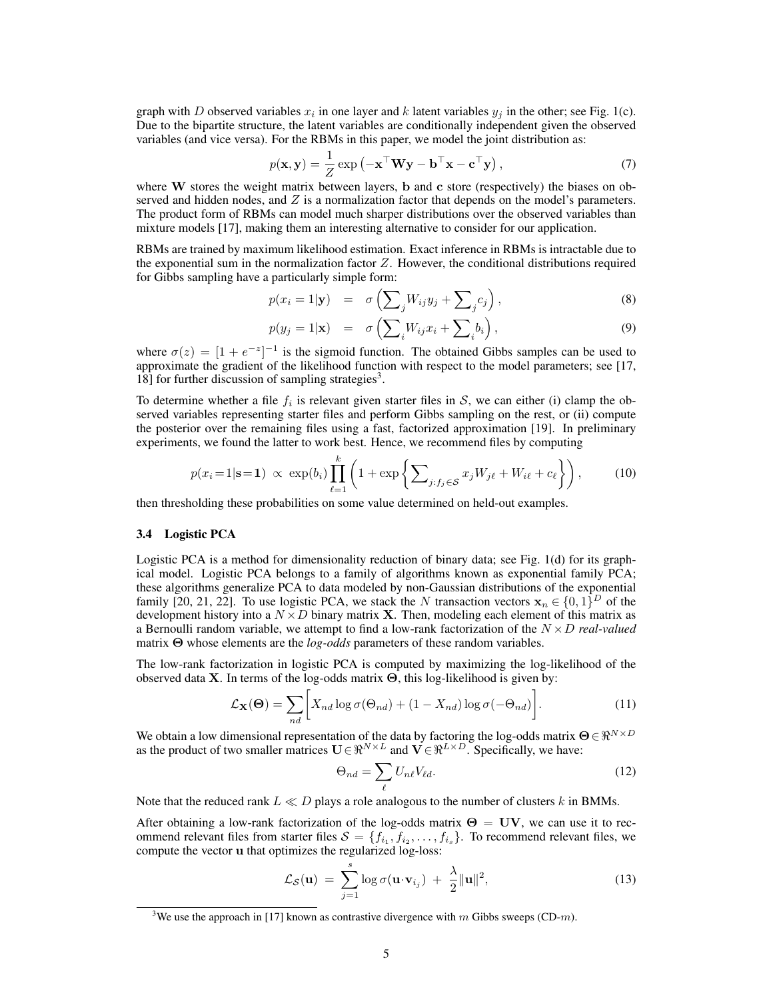graph with D observed variables  $x_i$  in one layer and k latent variables  $y_j$  in the other; see Fig. 1(c). Due to the bipartite structure, the latent variables are conditionally independent given the observed variables (and vice versa). For the RBMs in this paper, we model the joint distribution as:

$$
p(\mathbf{x}, \mathbf{y}) = \frac{1}{Z} \exp\left(-\mathbf{x}^\top \mathbf{W} \mathbf{y} - \mathbf{b}^\top \mathbf{x} - \mathbf{c}^\top \mathbf{y}\right),\tag{7}
$$

where  $W$  stores the weight matrix between layers, b and c store (respectively) the biases on observed and hidden nodes, and  $Z$  is a normalization factor that depends on the model's parameters. The product form of RBMs can model much sharper distributions over the observed variables than mixture models [17], making them an interesting alternative to consider for our application.

RBMs are trained by maximum likelihood estimation. Exact inference in RBMs is intractable due to the exponential sum in the normalization factor  $Z$ . However, the conditional distributions required for Gibbs sampling have a particularly simple form:

$$
p(x_i = 1 | \mathbf{y}) = \sigma \left( \sum_j W_{ij} y_j + \sum_j c_j \right), \tag{8}
$$

$$
p(y_j = 1 | \mathbf{x}) = \sigma\left(\sum_i W_{ij} x_i + \sum_i b_i\right),\tag{9}
$$

where  $\sigma(z) = [1 + e^{-z}]^{-1}$  is the sigmoid function. The obtained Gibbs samples can be used to approximate the gradient of the likelihood function with respect to the model parameters; see [17, 18] for further discussion of sampling strategies<sup>3</sup>.

To determine whether a file  $f_i$  is relevant given starter files in S, we can either (i) clamp the observed variables representing starter files and perform Gibbs sampling on the rest, or (ii) compute the posterior over the remaining files using a fast, factorized approximation [19]. In preliminary experiments, we found the latter to work best. Hence, we recommend files by computing

$$
p(x_i=1|\mathbf{s}=1) \propto \exp(b_i) \prod_{\ell=1}^k \left(1 + \exp\left\{\sum_{j:f_j \in \mathcal{S}} x_j W_{j\ell} + W_{i\ell} + c_\ell\right\}\right),\tag{10}
$$

then thresholding these probabilities on some value determined on held-out examples.

#### 3.4 Logistic PCA

Logistic PCA is a method for dimensionality reduction of binary data; see Fig. 1(d) for its graphical model. Logistic PCA belongs to a family of algorithms known as exponential family PCA; these algorithms generalize PCA to data modeled by non-Gaussian distributions of the exponential family [20, 21, 22]. To use logistic PCA, we stack the N transaction vectors  $x_n \in \{0,1\}^D$  of the development history into a  $N \times D$  binary matrix **X**. Then, modeling each element of this matrix as a Bernoulli random variable, we attempt to find a low-rank factorization of the N ×D *real-valued* matrix Θ whose elements are the *log-odds* parameters of these random variables.

The low-rank factorization in logistic PCA is computed by maximizing the log-likelihood of the observed data X. In terms of the log-odds matrix  $\Theta$ , this log-likelihood is given by:

$$
\mathcal{L}_{\mathbf{X}}(\mathbf{\Theta}) = \sum_{nd} \bigg[ X_{nd} \log \sigma(\Theta_{nd}) + (1 - X_{nd}) \log \sigma(-\Theta_{nd}) \bigg]. \tag{11}
$$

We obtain a low dimensional representation of the data by factoring the log-odds matrix  $\Theta \in \Re^{N \times D}$ as the product of two smaller matrices  $U \in \mathbb{R}^{N \times L}$  and  $V \in \mathbb{R}^{L \times D}$ . Specifically, we have:

$$
\Theta_{nd} = \sum_{\ell} U_{n\ell} V_{\ell d}.\tag{12}
$$

Note that the reduced rank  $L \ll D$  plays a role analogous to the number of clusters k in BMMs.

After obtaining a low-rank factorization of the log-odds matrix  $\Theta = UV$ , we can use it to recommend relevant files from starter files  $S = \{f_{i_1}, f_{i_2}, \ldots, f_{i_s}\}\$ . To recommend relevant files, we compute the vector u that optimizes the regularized log-loss:

$$
\mathcal{L}_{\mathcal{S}}(\mathbf{u}) = \sum_{j=1}^{s} \log \sigma(\mathbf{u} \cdot \mathbf{v}_{i_j}) + \frac{\lambda}{2} ||\mathbf{u}||^2, \qquad (13)
$$

<sup>&</sup>lt;sup>3</sup>We use the approach in [17] known as contrastive divergence with m Gibbs sweeps (CD-m).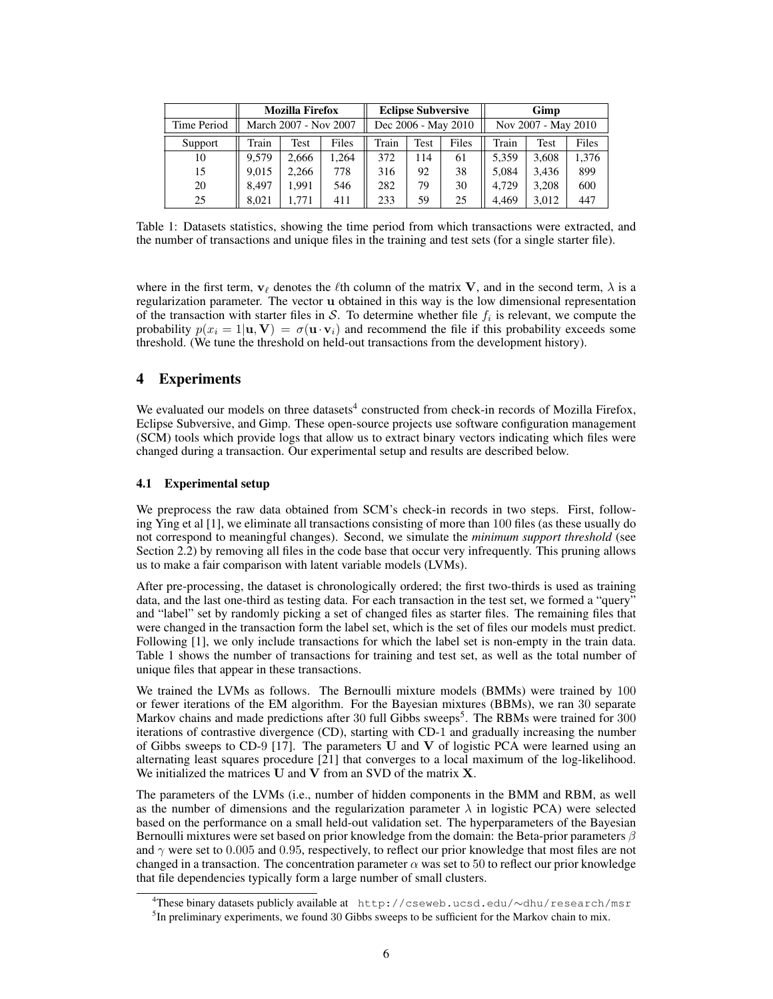|             |                       | <b>Mozilla Firefox</b> |       | <b>Eclipse Subversive</b> |      |       | Gimp                |       |       |  |
|-------------|-----------------------|------------------------|-------|---------------------------|------|-------|---------------------|-------|-------|--|
| Time Period | March 2007 - Nov 2007 |                        |       | Dec 2006 - May 2010       |      |       | Nov 2007 - May 2010 |       |       |  |
| Support     | Train                 | Test                   | Files | Train                     | Test | Files | Train               | Test  | Files |  |
| 10          | 9.579                 | 2,666                  | .264  | 372                       | 114  | 61    | 5,359               | 3,608 | 1,376 |  |
| 15          | 9.015                 | 2,266                  | 778   | 316                       | 92   | 38    | 5,084               | 3.436 | 899   |  |
| 20          | 8.497                 | 1.991                  | 546   | 282                       | 79   | 30    | 4.729               | 3.208 | 600   |  |
| 25          | 8.021                 | .771                   | 411   | 233                       | 59   | 25    | 4.469               | 3.012 | 447   |  |

Table 1: Datasets statistics, showing the time period from which transactions were extracted, and the number of transactions and unique files in the training and test sets (for a single starter file).

where in the first term,  $v_\ell$  denotes the  $\ell$ th column of the matrix V, and in the second term,  $\lambda$  is a regularization parameter. The vector u obtained in this way is the low dimensional representation of the transaction with starter files in S. To determine whether file  $f_i$  is relevant, we compute the probability  $p(x_i = 1|\mathbf{u}, \mathbf{V}) = \sigma(\mathbf{u} \cdot \mathbf{v}_i)$  and recommend the file if this probability exceeds some threshold. (We tune the threshold on held-out transactions from the development history).

# 4 Experiments

We evaluated our models on three datasets<sup>4</sup> constructed from check-in records of Mozilla Firefox, Eclipse Subversive, and Gimp. These open-source projects use software configuration management (SCM) tools which provide logs that allow us to extract binary vectors indicating which files were changed during a transaction. Our experimental setup and results are described below.

### 4.1 Experimental setup

We preprocess the raw data obtained from SCM's check-in records in two steps. First, following Ying et al [1], we eliminate all transactions consisting of more than 100 files (as these usually do not correspond to meaningful changes). Second, we simulate the *minimum support threshold* (see Section 2.2) by removing all files in the code base that occur very infrequently. This pruning allows us to make a fair comparison with latent variable models (LVMs).

After pre-processing, the dataset is chronologically ordered; the first two-thirds is used as training data, and the last one-third as testing data. For each transaction in the test set, we formed a "query" and "label" set by randomly picking a set of changed files as starter files. The remaining files that were changed in the transaction form the label set, which is the set of files our models must predict. Following [1], we only include transactions for which the label set is non-empty in the train data. Table 1 shows the number of transactions for training and test set, as well as the total number of unique files that appear in these transactions.

We trained the LVMs as follows. The Bernoulli mixture models (BMMs) were trained by 100 or fewer iterations of the EM algorithm. For the Bayesian mixtures (BBMs), we ran 30 separate Markov chains and made predictions after 30 full Gibbs sweeps<sup>5</sup>. The RBMs were trained for 300 iterations of contrastive divergence (CD), starting with CD-1 and gradually increasing the number of Gibbs sweeps to CD-9 [17]. The parameters U and V of logistic PCA were learned using an alternating least squares procedure [21] that converges to a local maximum of the log-likelihood. We initialized the matrices  $U$  and  $V$  from an SVD of the matrix  $X$ .

The parameters of the LVMs (i.e., number of hidden components in the BMM and RBM, as well as the number of dimensions and the regularization parameter  $\lambda$  in logistic PCA) were selected based on the performance on a small held-out validation set. The hyperparameters of the Bayesian Bernoulli mixtures were set based on prior knowledge from the domain: the Beta-prior parameters  $\beta$ and  $\gamma$  were set to 0.005 and 0.95, respectively, to reflect our prior knowledge that most files are not changed in a transaction. The concentration parameter  $\alpha$  was set to 50 to reflect our prior knowledge that file dependencies typically form a large number of small clusters.

<sup>4</sup>These binary datasets publicly available at http://cseweb.ucsd.edu/∼dhu/research/msr  $<sup>5</sup>$ In preliminary experiments, we found 30 Gibbs sweeps to be sufficient for the Markov chain to mix.</sup>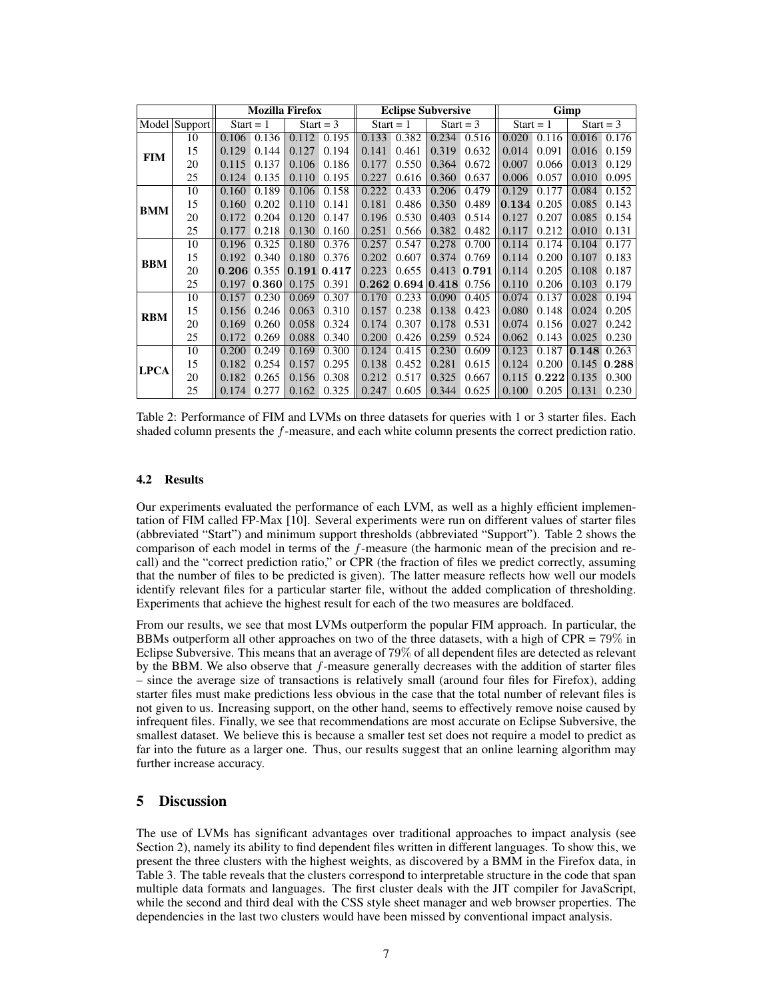|             |                                     | <b>Mozilla Firefox</b> |       |             |             | <b>Eclipse Subversive</b> |                 |             |       | Gimp        |       |             |       |
|-------------|-------------------------------------|------------------------|-------|-------------|-------------|---------------------------|-----------------|-------------|-------|-------------|-------|-------------|-------|
|             | $\overline{\text{Model}}$   Support | $Start = 1$            |       | $Start = 3$ |             | Start = $1$               |                 | Start = $3$ |       | $Start = 1$ |       | Start = $3$ |       |
| <b>FIM</b>  | 10                                  | 0.106                  | 0.136 | 0.112       | 0.195       | 0.133                     | 0.382           | 0.234       | 0.516 | 0.020       | 0.116 | 0.016       | 0.176 |
|             | 15                                  | 0.129                  | 0.144 | 0.127       | 0.194       | 0.141                     | 0.461           | 0.319       | 0.632 | 0.014       | 0.091 | 0.016       | 0.159 |
|             | 20                                  | 0.115                  | 0.137 | 0.106       | 0.186       | 0.177                     | 0.550           | 0.364       | 0.672 | 0.007       | 0.066 | 0.013       | 0.129 |
|             | 25                                  | 0.124                  | 0.135 | 0.110       | 0.195       | 0.227                     | 0.616           | 0.360       | 0.637 | 0.006       | 0.057 | 0.010       | 0.095 |
| <b>BMM</b>  | 10                                  | 0.160                  | 0.189 | 0.106       | 0.158       | 0.222                     | 0.433           | 0.206       | 0.479 | 0.129       | 0.177 | 0.084       | 0.152 |
|             | 15                                  | 0.160                  | 0.202 | 0.110       | 0.141       | 0.181                     | 0.486           | 0.350       | 0.489 | 0.134       | 0.205 | 0.085       | 0.143 |
|             | 20                                  | 0.172                  | 0.204 | 0.120       | 0.147       | 0.196                     | 0.530           | 0.403       | 0.514 | 0.127       | 0.207 | 0.085       | 0.154 |
|             | 25                                  | 0.177                  | 0.218 | 0.130       | 0.160       | 0.251                     | 0.566           | 0.382       | 0.482 | 0.117       | 0.212 | 0.010       | 0.131 |
| <b>BBM</b>  | 10                                  | 0.196                  | 0.325 | 0.180       | 0.376       | 0.257                     | 0.547           | 0.278       | 0.700 | 0.114       | 0.174 | 0.104       | 0.177 |
|             | 15                                  | 0.192                  | 0.340 | 0.180       | 0.376       | 0.202                     | 0.607           | 0.374       | 0.769 | 0.114       | 0.200 | 0.107       | 0.183 |
|             | 20                                  | 0.206                  | 0.355 |             | 0.191 0.417 | 0.223                     | 0.655           | 0.413       | 0.791 | 0.114       | 0.205 | 0.108       | 0.187 |
|             | 25                                  | 0.197                  | 0.360 | 0.175       | 0.391       |                           | $0.262$ $0.694$ | 0.418       | 0.756 | 0.110       | 0.206 | 0.103       | 0.179 |
| <b>RBM</b>  | 10                                  | 0.157                  | 0.230 | 0.069       | 0.307       | 0.170                     | 0.233           | 0.090       | 0.405 | 0.074       | 0.137 | 0.028       | 0.194 |
|             | 15                                  | 0.156                  | 0.246 | 0.063       | 0.310       | 0.157                     | 0.238           | 0.138       | 0.423 | 0.080       | 0.148 | 0.024       | 0.205 |
|             | 20                                  | 0.169                  | 0.260 | 0.058       | 0.324       | 0.174                     | 0.307           | 0.178       | 0.531 | 0.074       | 0.156 | 0.027       | 0.242 |
|             | 25                                  | 0.172                  | 0.269 | 0.088       | 0.340       | 0.200                     | 0.426           | 0.259       | 0.524 | 0.062       | 0.143 | 0.025       | 0.230 |
| <b>LPCA</b> | 10                                  | 0.200                  | 0.249 | 0.169       | 0.300       | 0.124                     | 0.415           | 0.230       | 0.609 | 0.123       | 0.187 | 0.148       | 0.263 |
|             | 15                                  | 0.182                  | 0.254 | 0.157       | 0.295       | 0.138                     | 0.452           | 0.281       | 0.615 | 0.124       | 0.200 | 0.145       | 0.288 |
|             | 20                                  | 0.182                  | 0.265 | 0.156       | 0.308       | 0.212                     | 0.517           | 0.325       | 0.667 | 0.115       | 0.222 | 0.135       | 0.300 |
|             | 25                                  | 0.174                  | 0.277 | 0.162       | 0.325       | 0.247                     | 0.605           | 0.344       | 0.625 | 0.100       | 0.205 | 0.131       | 0.230 |

Table 2: Performance of FIM and LVMs on three datasets for queries with 1 or 3 starter files. Each shaded column presents the f-measure, and each white column presents the correct prediction ratio.

### 4.2 Results

Our experiments evaluated the performance of each LVM, as well as a highly efficient implementation of FIM called FP-Max [10]. Several experiments were run on different values of starter files (abbreviated "Start") and minimum support thresholds (abbreviated "Support"). Table 2 shows the comparison of each model in terms of the  $f$ -measure (the harmonic mean of the precision and recall) and the "correct prediction ratio," or CPR (the fraction of files we predict correctly, assuming that the number of files to be predicted is given). The latter measure reflects how well our models identify relevant files for a particular starter file, without the added complication of thresholding. Experiments that achieve the highest result for each of the two measures are boldfaced.

From our results, we see that most LVMs outperform the popular FIM approach. In particular, the BBMs outperform all other approaches on two of the three datasets, with a high of CPR =  $79\%$  in Eclipse Subversive. This means that an average of 79% of all dependent files are detected as relevant by the BBM. We also observe that f-measure generally decreases with the addition of starter files – since the average size of transactions is relatively small (around four files for Firefox), adding starter files must make predictions less obvious in the case that the total number of relevant files is not given to us. Increasing support, on the other hand, seems to effectively remove noise caused by infrequent files. Finally, we see that recommendations are most accurate on Eclipse Subversive, the smallest dataset. We believe this is because a smaller test set does not require a model to predict as far into the future as a larger one. Thus, our results suggest that an online learning algorithm may further increase accuracy.

# 5 Discussion

The use of LVMs has significant advantages over traditional approaches to impact analysis (see Section 2), namely its ability to find dependent files written in different languages. To show this, we present the three clusters with the highest weights, as discovered by a BMM in the Firefox data, in Table 3. The table reveals that the clusters correspond to interpretable structure in the code that span multiple data formats and languages. The first cluster deals with the JIT compiler for JavaScript, while the second and third deal with the CSS style sheet manager and web browser properties. The dependencies in the last two clusters would have been missed by conventional impact analysis.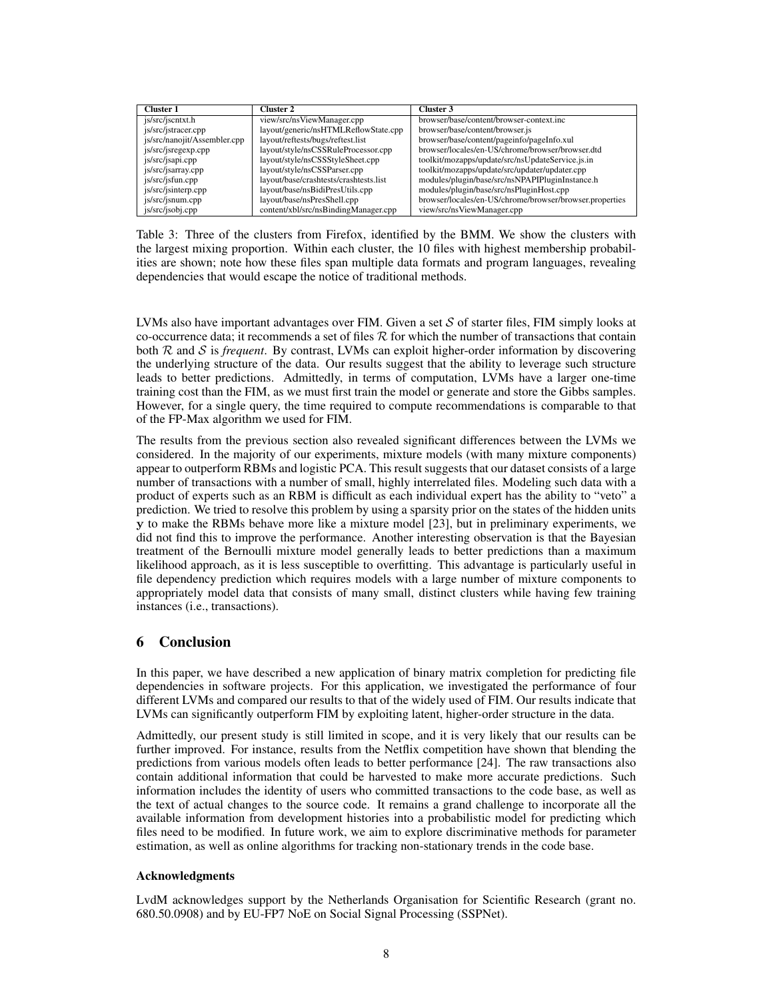| <b>Cluster 1</b>             | Cluster 2                              | Cluster 3                                               |
|------------------------------|----------------------------------------|---------------------------------------------------------|
| is/src/jscntxt.h             | view/src/nsViewManager.cpp             | browser/base/content/browser-context.inc                |
| js/src/jstracer.cpp          | layout/generic/nsHTMLReflowState.cpp   | browser/base/content/browser.js                         |
| js/src/nanojit/Assembler.cpp | layout/reftests/bugs/reftest.list      | browser/base/content/pageinfo/pageInfo.xul              |
| js/src/jsregexp.cpp          | layout/style/nsCSSRuleProcessor.cpp    | browser/locales/en-US/chrome/browser/browser.dtd        |
| js/src/jsapi.cpp             | layout/style/nsCSSStyleSheet.cpp       | toolkit/mozapps/update/src/nsUpdateService.js.in        |
| js/src/jsarray.cpp           | layout/style/nsCSSParser.cpp           | toolkit/mozapps/update/src/updater/updater.cpp          |
| is/src/jsfun.cpp             | layout/base/crashtests/crashtests.list | modules/plugin/base/src/nsNPAPIPluginInstance.h         |
| js/src/jsinterp.cpp          | layout/base/nsBidiPresUtils.cpp        | modules/plugin/base/src/nsPluginHost.cpp                |
| is/src/jsnum.cpp             | layout/base/nsPresShell.cpp            | browser/locales/en-US/chrome/browser/browser.properties |
| js/src/jsobj.cpp             | content/xbl/src/nsBindingManager.cpp   | view/src/nsViewManager.cpp                              |

Table 3: Three of the clusters from Firefox, identified by the BMM. We show the clusters with the largest mixing proportion. Within each cluster, the 10 files with highest membership probabilities are shown; note how these files span multiple data formats and program languages, revealing dependencies that would escape the notice of traditional methods.

LVMs also have important advantages over FIM. Given a set  $S$  of starter files, FIM simply looks at co-occurrence data; it recommends a set of files  $R$  for which the number of transactions that contain both R and S is *frequent*. By contrast, LVMs can exploit higher-order information by discovering the underlying structure of the data. Our results suggest that the ability to leverage such structure leads to better predictions. Admittedly, in terms of computation, LVMs have a larger one-time training cost than the FIM, as we must first train the model or generate and store the Gibbs samples. However, for a single query, the time required to compute recommendations is comparable to that of the FP-Max algorithm we used for FIM.

The results from the previous section also revealed significant differences between the LVMs we considered. In the majority of our experiments, mixture models (with many mixture components) appear to outperform RBMs and logistic PCA. This result suggests that our dataset consists of a large number of transactions with a number of small, highly interrelated files. Modeling such data with a product of experts such as an RBM is difficult as each individual expert has the ability to "veto" a prediction. We tried to resolve this problem by using a sparsity prior on the states of the hidden units y to make the RBMs behave more like a mixture model [23], but in preliminary experiments, we did not find this to improve the performance. Another interesting observation is that the Bayesian treatment of the Bernoulli mixture model generally leads to better predictions than a maximum likelihood approach, as it is less susceptible to overfitting. This advantage is particularly useful in file dependency prediction which requires models with a large number of mixture components to appropriately model data that consists of many small, distinct clusters while having few training instances (i.e., transactions).

# 6 Conclusion

In this paper, we have described a new application of binary matrix completion for predicting file dependencies in software projects. For this application, we investigated the performance of four different LVMs and compared our results to that of the widely used of FIM. Our results indicate that LVMs can significantly outperform FIM by exploiting latent, higher-order structure in the data.

Admittedly, our present study is still limited in scope, and it is very likely that our results can be further improved. For instance, results from the Netflix competition have shown that blending the predictions from various models often leads to better performance [24]. The raw transactions also contain additional information that could be harvested to make more accurate predictions. Such information includes the identity of users who committed transactions to the code base, as well as the text of actual changes to the source code. It remains a grand challenge to incorporate all the available information from development histories into a probabilistic model for predicting which files need to be modified. In future work, we aim to explore discriminative methods for parameter estimation, as well as online algorithms for tracking non-stationary trends in the code base.

### Acknowledgments

LvdM acknowledges support by the Netherlands Organisation for Scientific Research (grant no. 680.50.0908) and by EU-FP7 NoE on Social Signal Processing (SSPNet).